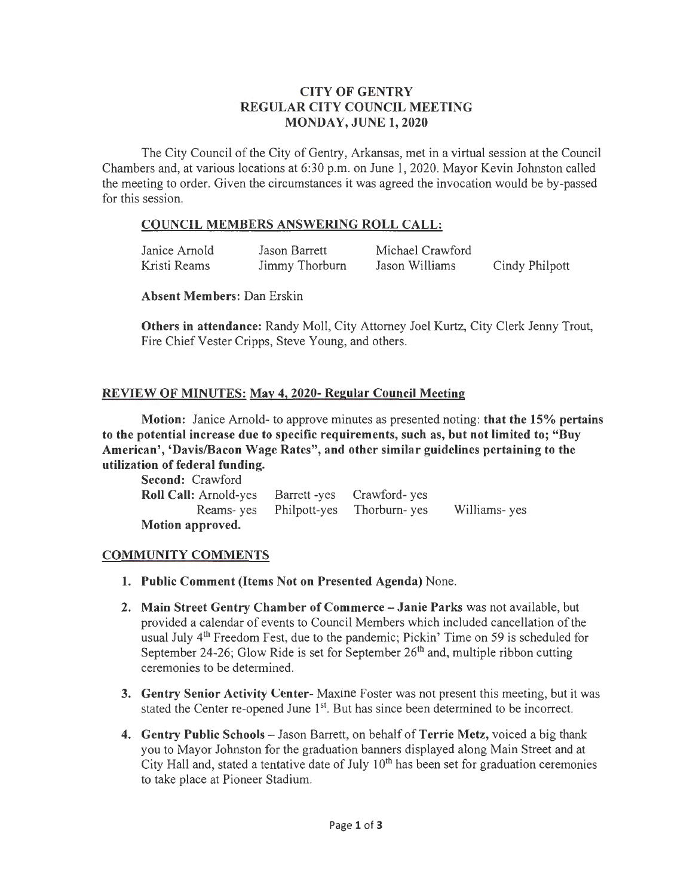## CITY OF GENTRY REGULAR CITY COUNCIL MEETING MONDAY, JUNE 1, 2020

The City Council of the City of Gentry, Arkansas, met in a virtual session at the Council Chambers and, at various locations at 6:30 p.m. on June 1, 2020. Mayor Kevin Johnston called the meeting to order. Given the circumstances it was agreed the invocation would be by-passed for this session.

### COUNCIL MEMBERS ANSWERING ROLL CALL:

| Janice Arnold | Jason Barrett  | Michael Crawford |                |
|---------------|----------------|------------------|----------------|
| Kristi Reams  | Jimmy Thorburn | Jason Williams   | Cindy Philpott |

#### Absent Members: Dan Erskin

Others in attendance: Randy Moll, City Attorney Joel Kurtz, City Clerk Jenny Trout, Fire Chief Vester Cripps, Steve Young, and others.

### REVIEW OF MINUTES: May 4, 2020- Regular Council Meeting

Motion: Janice Arnold- to approve minutes as presented noting: that the 15% pertains to the potential increase due to specific requirements, such as, but not limited to; "Buy American', 'Davis/Bacon Wage Rates", and other similar guidelines pertaining to the utilization of federal funding.

| <b>Second:</b> Crawford      |                                     |               |
|------------------------------|-------------------------------------|---------------|
| <b>Roll Call: Arnold-yes</b> | Barrett-yes Crawford-yes            |               |
|                              | Reams-yes Philpott-yes Thorburn-yes | Williams- yes |
| Motion approved.             |                                     |               |

## COMMUNITY COMMENTS

- 1. Public Comment (Items Not on Presented Agenda) None.
- 2. Main Street Gentry Chamber of Commerce- Janie Parks was not available, but provided a calendar of events to Council Members which included cancellation of the usual July 4<sup>th</sup> Freedom Fest, due to the pandemic; Pickin' Time on 59 is scheduled for September 24-26; Glow Ride is set for September  $26<sup>th</sup>$  and, multiple ribbon cutting ceremonies to be determined.
- 3. Gentry Senior Activity Center- Maxine Foster was not present this meeting, but it was stated the Center re-opened June  $1<sup>st</sup>$ . But has since been determined to be incorrect.
- 4. Gentry Public Schools Jason Barrett, on behalf of Terrie Metz, voiced a big thank you to Mayor Johnston for the graduation banners displayed along Main Street and at City Hall and, stated a tentative date of July  $10<sup>th</sup>$  has been set for graduation ceremonies to take place at Pioneer Stadium.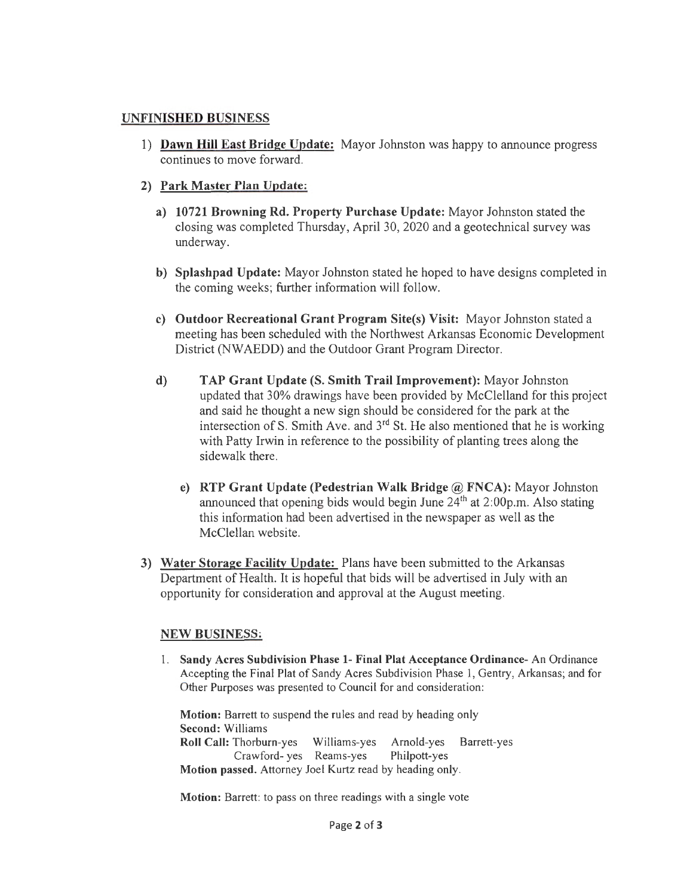## UNFINISHED BUSINESS

1) Dawn Hill East Bridge Update: Mayor Johnston was happy to announce progress continues to move forward.

## 2) Park Master Plan Update:

- a) 10721 Browning Rd. Property Purchase Update: Mayor Johnston stated the closing was completed Thursday, April 30, 2020 and a geotechnical survey was underway.
- b) Splashpad Update: Mayor Johnston stated he hoped to have designs completed in the coming weeks; further information will follow.
- c) Outdoor Recreational Grant Program Site(s) Visit: Mayor Johnston stated a meeting has been scheduled with the Northwest Arkansas Economic Development District (NWAEDD) and the Outdoor Grant Program Director.
- d) TAP Grant Update (S. Smith Trail Improvement): Mayor Johnston updated that 30% drawings have been provided by McClelland for this project and said he thought a new sign should be considered for the park at the intersection of S. Smith Ave. and  $3<sup>rd</sup>$  St. He also mentioned that he is working with Patty Irwin in reference to the possibility of planting trees along the sidewalk there.
	- e) RTP Grant Update (Pedestrian Walk Bridge @ FNCA): Mayor Johnston announced that opening bids would begin June  $24<sup>th</sup>$  at  $2:00$ p.m. Also stating this information had been advertised in the newspaper as well as the McClellan website.
- 3) Water Storage Facility Update: Plans have been submitted to the Arkansas Department of Health. It is hopeful that bids will be advertised in July with an opportunity for consideration and approval at the August meeting.

## NEW BUSINESS:

1. Sandy Acres Subdivision Phase 1- Final Plat Acceptance Ordinance- An Ordinance Accepting the Final Plat of Sandy Acres Subdivision Phase 1, Gentry, Arkansas; and for Other Purposes was presented to Council for and consideration:

Motion: Barrett to suspend the rules and read by heading only Second: Williams Roll Call: Thorburn-yes Williams-yes Arnold-yes Barrett-yes Crawford- yes Reams-yes Philpott-yes Motion passed. Attorney Joel Kurtz read by heading only.

Motion: Barrett: to pass on three readings with a single vote